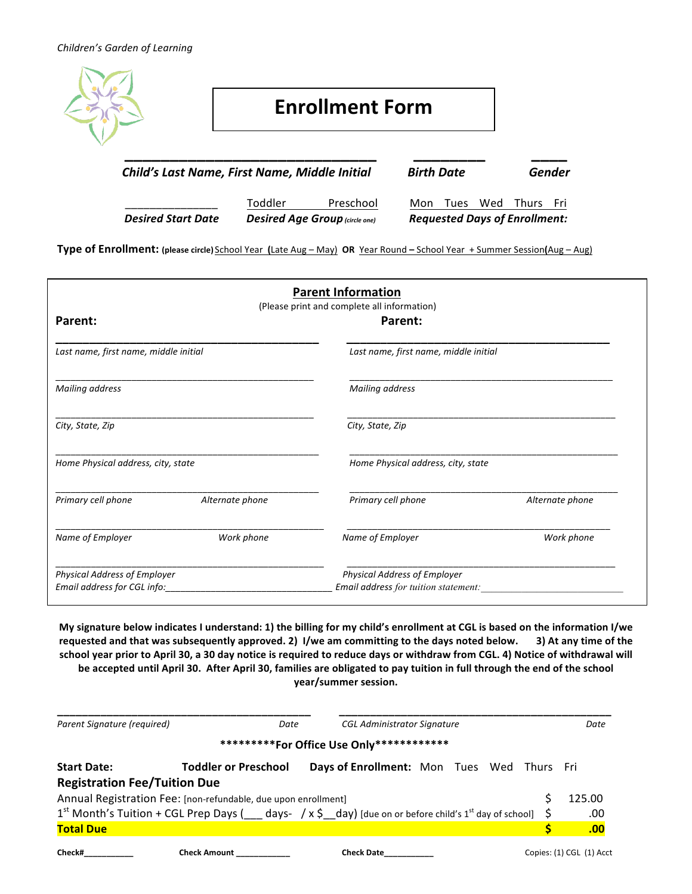

Toddler Preschool Mon Tues Wed Thurs Fri *Desired Start Date Desired Age Group (circle one) Requested Days of Enrollment:* 

**Type of Enrollment:** (please circle) School Year (Late Aug – May) OR Year Round – School Year + Summer Session(Aug – Aug)

| <b>Parent Information</b><br>(Please print and complete all information)                                                      |  |                                                                                         |  |                                                                             |                                    |                 |                    |                 |
|-------------------------------------------------------------------------------------------------------------------------------|--|-----------------------------------------------------------------------------------------|--|-----------------------------------------------------------------------------|------------------------------------|-----------------|--------------------|-----------------|
| Parent:<br>Last name, first name, middle initial<br>Mailing address<br>City, State, Zip<br>Home Physical address, city, state |  | Parent:<br>Last name, first name, middle initial<br>Mailing address<br>City, State, Zip |  |                                                                             |                                    |                 |                    |                 |
|                                                                                                                               |  |                                                                                         |  |                                                                             | Home Physical address, city, state |                 |                    |                 |
|                                                                                                                               |  |                                                                                         |  |                                                                             | Primary cell phone                 | Alternate phone | Primary cell phone | Alternate phone |
|                                                                                                                               |  |                                                                                         |  |                                                                             | Name of Employer                   | Work phone      | Name of Employer   | Work phone      |
|                                                                                                                               |  | Physical Address of Employer<br>Email address for CGL info:                             |  | <b>Physical Address of Employer</b><br>Email address for tuition statement: |                                    |                 |                    |                 |

**My signature below indicates I understand: 1) the billing for my child's enrollment at CGL is based on the information I/we** requested and that was subsequently approved. 2) I/we am committing to the days noted below. **3)** At any time of the school year prior to April 30, a 30 day notice is required to reduce days or withdraw from CGL. 4) Notice of withdrawal will be accepted until April 30. After April 30, families are obligated to pay tuition in full through the end of the school **year/summer session.**

| Date                                | <b>CGL Administrator Signature</b> |                                                                                                              | Date                                                                                                                                                                          |
|-------------------------------------|------------------------------------|--------------------------------------------------------------------------------------------------------------|-------------------------------------------------------------------------------------------------------------------------------------------------------------------------------|
|                                     |                                    |                                                                                                              |                                                                                                                                                                               |
| <b>Toddler or Preschool</b>         |                                    |                                                                                                              |                                                                                                                                                                               |
| <b>Registration Fee/Tuition Due</b> |                                    |                                                                                                              |                                                                                                                                                                               |
|                                     |                                    |                                                                                                              | 125.00                                                                                                                                                                        |
|                                     |                                    |                                                                                                              | .00                                                                                                                                                                           |
|                                     |                                    |                                                                                                              | .00                                                                                                                                                                           |
|                                     |                                    | **********For Office Use Only*************<br>Annual Registration Fee: [non-refundable, due upon enrollment] | Days of Enrollment: Mon Tues Wed Thurs Fri<br>$1^{st}$ Month's Tuition + CGL Prep Days ( $\_\_$ days- / x \$_day) [due on or before child's 1 <sup>st</sup> day of school] \$ |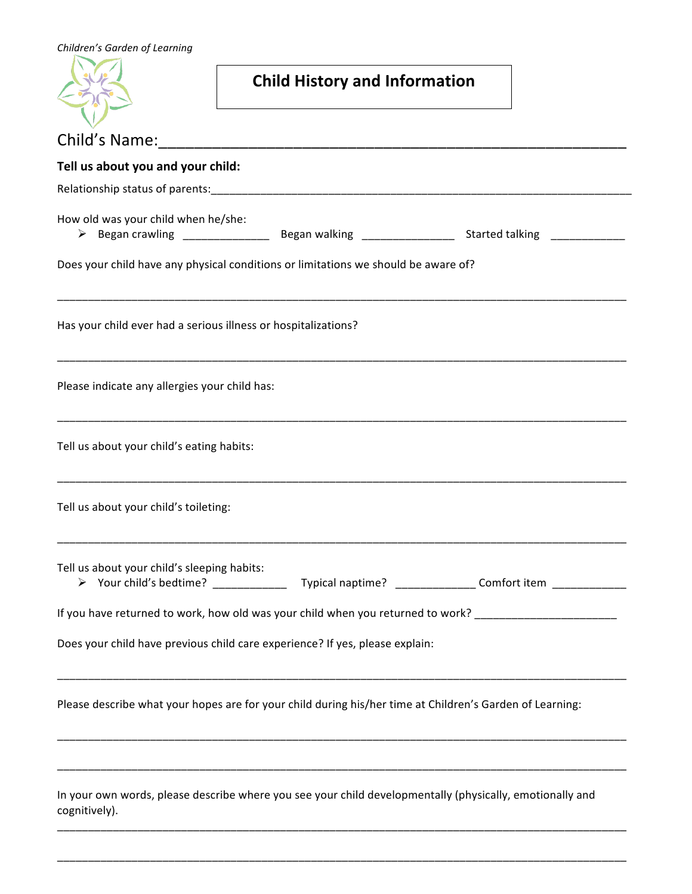| Children's Garden of Learning                                                                                                 |                                      |  |
|-------------------------------------------------------------------------------------------------------------------------------|--------------------------------------|--|
|                                                                                                                               | <b>Child History and Information</b> |  |
|                                                                                                                               |                                      |  |
| Tell us about you and your child:                                                                                             |                                      |  |
|                                                                                                                               |                                      |  |
| How old was your child when he/she:<br>> Began crawling ___________________ Began walking ___________________ Started talking |                                      |  |
| Does your child have any physical conditions or limitations we should be aware of?                                            |                                      |  |
| Has your child ever had a serious illness or hospitalizations?                                                                |                                      |  |
| Please indicate any allergies your child has:                                                                                 |                                      |  |
| Tell us about your child's eating habits:                                                                                     |                                      |  |
| Tell us about your child's toileting:                                                                                         |                                      |  |
| Tell us about your child's sleeping habits:                                                                                   |                                      |  |
| If you have returned to work, how old was your child when you returned to work? ______________________________                |                                      |  |
| Does your child have previous child care experience? If yes, please explain:                                                  |                                      |  |
| Please describe what your hopes are for your child during his/her time at Children's Garden of Learning:                      |                                      |  |
| In your own words, please describe where you see your child developmentally (physically, emotionally and<br>cognitively).     |                                      |  |

\_\_\_\_\_\_\_\_\_\_\_\_\_\_\_\_\_\_\_\_\_\_\_\_\_\_\_\_\_\_\_\_\_\_\_\_\_\_\_\_\_\_\_\_\_\_\_\_\_\_\_\_\_\_\_\_\_\_\_\_\_\_\_\_\_\_\_\_\_\_\_\_\_\_\_\_\_\_\_\_\_\_\_\_\_\_\_\_\_\_\_\_

\_\_\_\_\_\_\_\_\_\_\_\_\_\_\_\_\_\_\_\_\_\_\_\_\_\_\_\_\_\_\_\_\_\_\_\_\_\_\_\_\_\_\_\_\_\_\_\_\_\_\_\_\_\_\_\_\_\_\_\_\_\_\_\_\_\_\_\_\_\_\_\_\_\_\_\_\_\_\_\_\_\_\_\_\_\_\_\_\_\_\_\_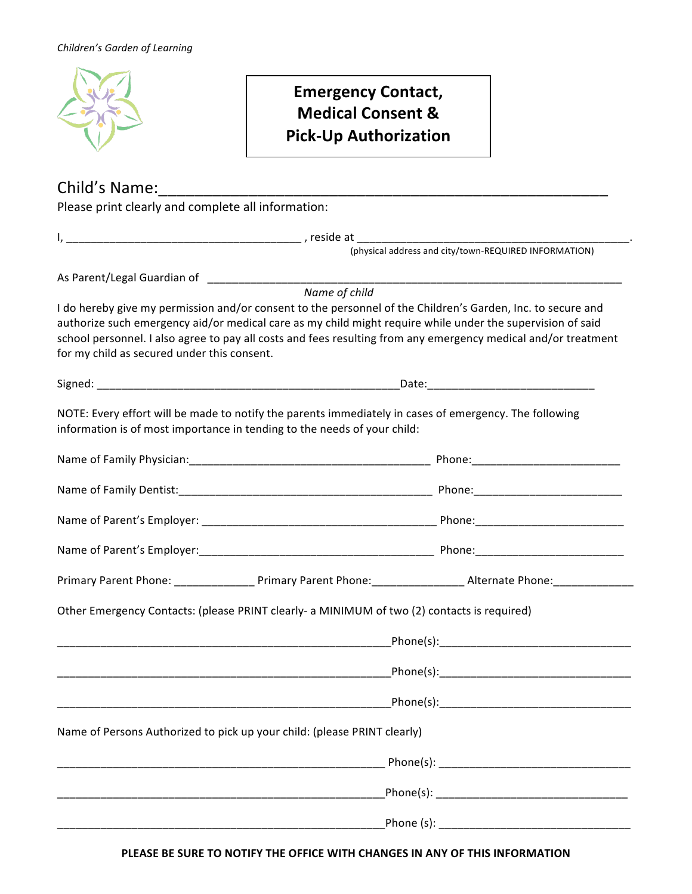

# **Emergency Contact, Medical Consent & Pick-Up Authorization**

| Please print clearly and complete all information: |                                                                                                                                                                                    |                                                                                                                                                                                                                                                                                                                                             |  |  |
|----------------------------------------------------|------------------------------------------------------------------------------------------------------------------------------------------------------------------------------------|---------------------------------------------------------------------------------------------------------------------------------------------------------------------------------------------------------------------------------------------------------------------------------------------------------------------------------------------|--|--|
|                                                    |                                                                                                                                                                                    |                                                                                                                                                                                                                                                                                                                                             |  |  |
|                                                    |                                                                                                                                                                                    |                                                                                                                                                                                                                                                                                                                                             |  |  |
|                                                    |                                                                                                                                                                                    |                                                                                                                                                                                                                                                                                                                                             |  |  |
| for my child as secured under this consent.        | Name of child                                                                                                                                                                      | I do hereby give my permission and/or consent to the personnel of the Children's Garden, Inc. to secure and<br>authorize such emergency aid/or medical care as my child might require while under the supervision of said<br>school personnel. I also agree to pay all costs and fees resulting from any emergency medical and/or treatment |  |  |
|                                                    |                                                                                                                                                                                    |                                                                                                                                                                                                                                                                                                                                             |  |  |
|                                                    | NOTE: Every effort will be made to notify the parents immediately in cases of emergency. The following<br>information is of most importance in tending to the needs of your child: |                                                                                                                                                                                                                                                                                                                                             |  |  |
|                                                    |                                                                                                                                                                                    |                                                                                                                                                                                                                                                                                                                                             |  |  |
|                                                    |                                                                                                                                                                                    |                                                                                                                                                                                                                                                                                                                                             |  |  |
|                                                    |                                                                                                                                                                                    |                                                                                                                                                                                                                                                                                                                                             |  |  |
|                                                    |                                                                                                                                                                                    |                                                                                                                                                                                                                                                                                                                                             |  |  |
|                                                    |                                                                                                                                                                                    | Primary Parent Phone: __________________Primary Parent Phone: ____________________Alternate Phone: _________________                                                                                                                                                                                                                        |  |  |
|                                                    | Other Emergency Contacts: (please PRINT clearly- a MINIMUM of two (2) contacts is required)                                                                                        |                                                                                                                                                                                                                                                                                                                                             |  |  |
|                                                    |                                                                                                                                                                                    | Phone(s): National Phone (s) and the set of the set of the set of the set of the set of the set of the set of the set of the set of the set of the set of the set of the set of the set of the set of the set of the set of th                                                                                                              |  |  |
|                                                    |                                                                                                                                                                                    |                                                                                                                                                                                                                                                                                                                                             |  |  |
|                                                    |                                                                                                                                                                                    |                                                                                                                                                                                                                                                                                                                                             |  |  |
|                                                    | Name of Persons Authorized to pick up your child: (please PRINT clearly)                                                                                                           |                                                                                                                                                                                                                                                                                                                                             |  |  |
|                                                    |                                                                                                                                                                                    |                                                                                                                                                                                                                                                                                                                                             |  |  |
|                                                    |                                                                                                                                                                                    |                                                                                                                                                                                                                                                                                                                                             |  |  |
|                                                    |                                                                                                                                                                                    |                                                                                                                                                                                                                                                                                                                                             |  |  |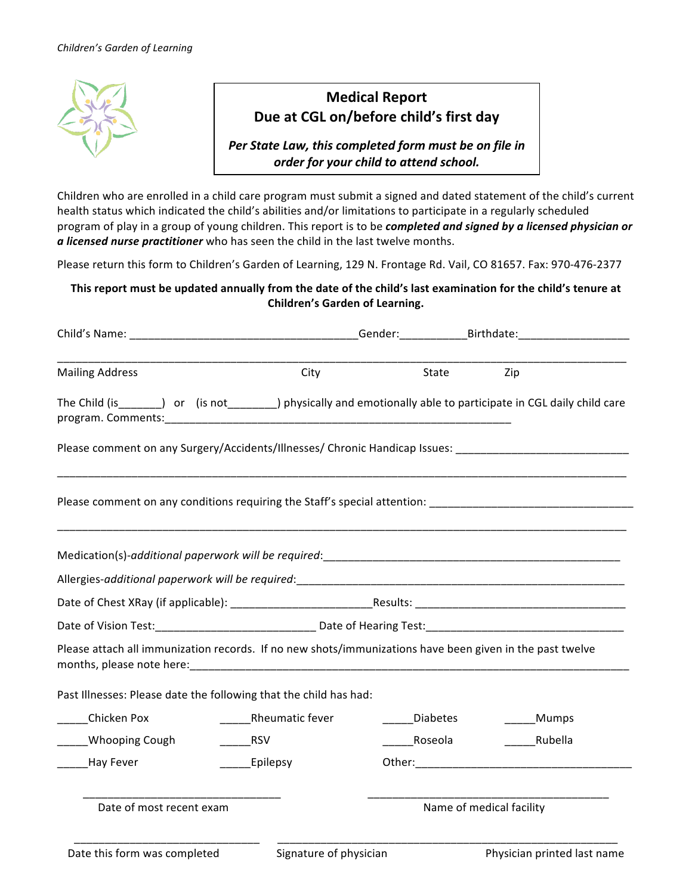

### **Medical Report** Due at CGL on/before child's first day

Per State Law, this completed form must be on file in *order for your child to attend school.*

Children who are enrolled in a child care program must submit a signed and dated statement of the child's current health status which indicated the child's abilities and/or limitations to participate in a regularly scheduled program of play in a group of young children. This report is to be *completed and signed by a licensed physician or a* licensed nurse practitioner who has seen the child in the last twelve months.

Please return this form to Children's Garden of Learning, 129 N. Frontage Rd. Vail, CO 81657. Fax: 970-476-2377

#### This report must be updated annually from the date of the child's last examination for the child's tenure at **Children's Garden of Learning.**

|                                                                                                                  |                 | _Gender:______________Birthdate:______________________ |             |  |
|------------------------------------------------------------------------------------------------------------------|-----------------|--------------------------------------------------------|-------------|--|
| <b>Mailing Address</b>                                                                                           | City            | State                                                  | Zip         |  |
| The Child (is_______) or (is not________) physically and emotionally able to participate in CGL daily child care |                 |                                                        |             |  |
| Please comment on any Surgery/Accidents/Illnesses/ Chronic Handicap Issues: ______________________________       |                 |                                                        |             |  |
|                                                                                                                  |                 |                                                        |             |  |
|                                                                                                                  |                 |                                                        |             |  |
|                                                                                                                  |                 |                                                        |             |  |
|                                                                                                                  |                 |                                                        |             |  |
|                                                                                                                  |                 |                                                        |             |  |
| Please attach all immunization records. If no new shots/immunizations have been given in the past twelve         |                 |                                                        |             |  |
| Past Illnesses: Please date the following that the child has had:                                                |                 |                                                        |             |  |
| Chicken Pox                                                                                                      | Rheumatic fever | Diabetes                                               | ______Mumps |  |
| Whooping Cough                                                                                                   | <b>RSV</b>      | Roseola                                                | Rubella     |  |
| _____Hay Fever                                                                                                   | Epilepsy        |                                                        |             |  |
|                                                                                                                  |                 |                                                        |             |  |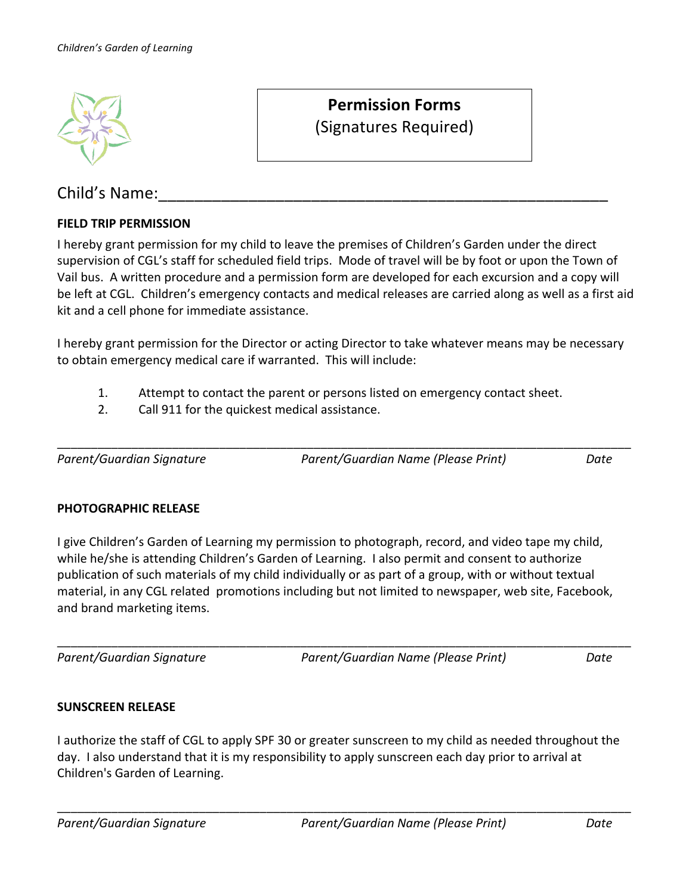

## Child's Name:

#### **FIELD TRIP PERMISSION**

I hereby grant permission for my child to leave the premises of Children's Garden under the direct supervision of CGL's staff for scheduled field trips. Mode of travel will be by foot or upon the Town of Vail bus. A written procedure and a permission form are developed for each excursion and a copy will be left at CGL. Children's emergency contacts and medical releases are carried along as well as a first aid kit and a cell phone for immediate assistance.

**Permission Forms** 

(Signatures Required)

I hereby grant permission for the Director or acting Director to take whatever means may be necessary to obtain emergency medical care if warranted. This will include:

\_\_\_\_\_\_\_\_\_\_\_\_\_\_\_\_\_\_\_\_\_\_\_\_\_\_\_\_\_\_\_\_\_\_\_\_\_\_\_\_\_\_\_\_\_\_\_\_\_\_\_\_\_\_\_\_\_\_\_\_\_\_\_\_\_\_\_\_\_\_\_\_\_\_\_\_\_\_\_\_\_\_\_\_\_

- 1. Attempt to contact the parent or persons listed on emergency contact sheet.
- 2. Call 911 for the quickest medical assistance.

*Parent/Guardian Signature Parent/Guardian Name (Please Print) Date*

#### **PHOTOGRAPHIC RELEASE**

I give Children's Garden of Learning my permission to photograph, record, and video tape my child, while he/she is attending Children's Garden of Learning. I also permit and consent to authorize publication of such materials of my child individually or as part of a group, with or without textual material, in any CGL related promotions including but not limited to newspaper, web site, Facebook, and brand marketing items.

\_\_\_\_\_\_\_\_\_\_\_\_\_\_\_\_\_\_\_\_\_\_\_\_\_\_\_\_\_\_\_\_\_\_\_\_\_\_\_\_\_\_\_\_\_\_\_\_\_\_\_\_\_\_\_\_\_\_\_\_\_\_\_\_\_\_\_\_\_\_\_\_\_\_\_\_\_\_\_\_\_\_\_\_\_ *Parent/Guardian Signature Parent/Guardian Name (Please Print) Date*

#### **SUNSCREEN RELEASE**

I authorize the staff of CGL to apply SPF 30 or greater sunscreen to my child as needed throughout the day. I also understand that it is my responsibility to apply sunscreen each day prior to arrival at Children's Garden of Learning.

\_\_\_\_\_\_\_\_\_\_\_\_\_\_\_\_\_\_\_\_\_\_\_\_\_\_\_\_\_\_\_\_\_\_\_\_\_\_\_\_\_\_\_\_\_\_\_\_\_\_\_\_\_\_\_\_\_\_\_\_\_\_\_\_\_\_\_\_\_\_\_\_\_\_\_\_\_\_\_\_\_\_\_\_\_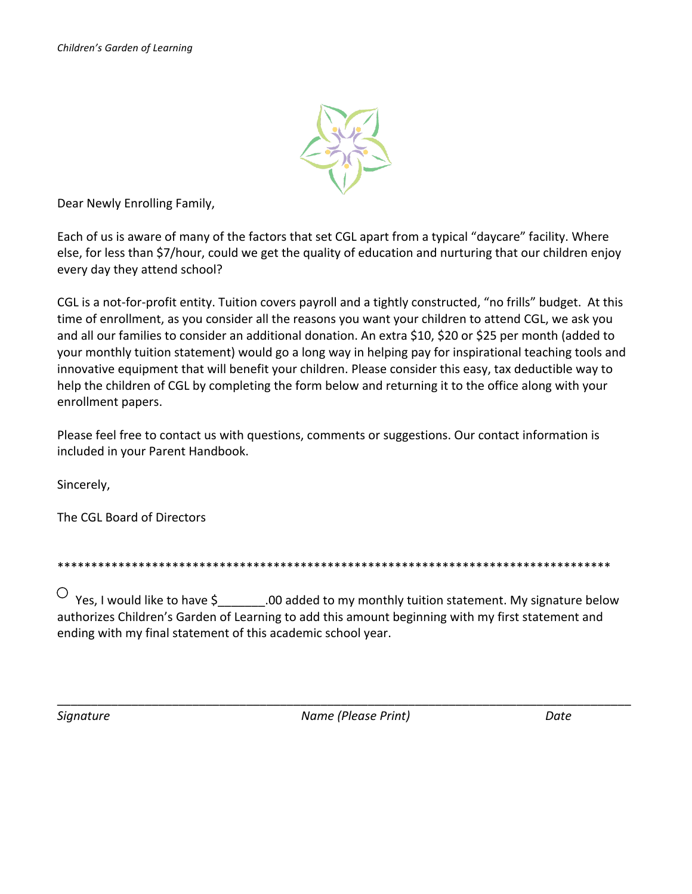

Dear Newly Enrolling Family,

Each of us is aware of many of the factors that set CGL apart from a typical "daycare" facility. Where else, for less than \$7/hour, could we get the quality of education and nurturing that our children enjoy every day they attend school?

CGL is a not-for-profit entity. Tuition covers payroll and a tightly constructed, "no frills" budget. At this time of enrollment, as you consider all the reasons you want your children to attend CGL, we ask you and all our families to consider an additional donation. An extra \$10, \$20 or \$25 per month (added to your monthly tuition statement) would go a long way in helping pay for inspirational teaching tools and innovative equipment that will benefit your children. Please consider this easy, tax deductible way to help the children of CGL by completing the form below and returning it to the office along with your enrollment papers.

Please feel free to contact us with questions, comments or suggestions. Our contact information is included in your Parent Handbook.

Sincerely,

The CGL Board of Directors

\*\*\*\*\*\*\*\*\*\*\*\*\*\*\*\*\*\*\*\*\*\*\*\*\*\*\*\*\*\*\*\*\*\*\*\*\*\*\*\*\*\*\*\*\*\*\*\*\*\*\*\*\*\*\*\*\*\*\*\*\*\*\*\*\*\*\*\*\*\*\*\*\*\*\*\*\*\*\*\*\*\*

 $\overline{a}$  $\vee$  Yes, I would like to have \$\_\_\_\_\_\_\_.00 added to my monthly tuition statement. My signature below authorizes Children's Garden of Learning to add this amount beginning with my first statement and ending with my final statement of this academic school year.

*Signature Name (Please Print) Date*

\_\_\_\_\_\_\_\_\_\_\_\_\_\_\_\_\_\_\_\_\_\_\_\_\_\_\_\_\_\_\_\_\_\_\_\_\_\_\_\_\_\_\_\_\_\_\_\_\_\_\_\_\_\_\_\_\_\_\_\_\_\_\_\_\_\_\_\_\_\_\_\_\_\_\_\_\_\_\_\_\_\_\_\_\_